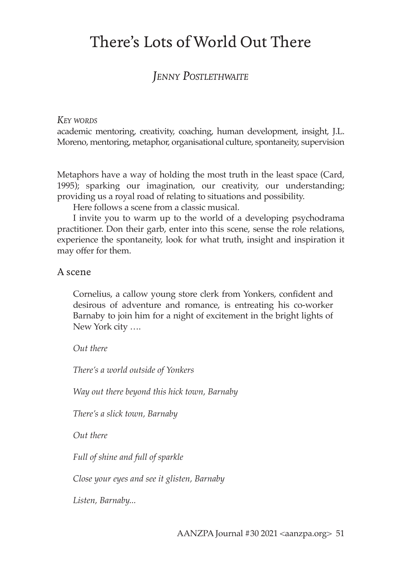# There's Lots of World Out There

# *Jenny Postlethwaite*

#### *Key words*

academic mentoring, creativity, coaching, human development, insight, J.L. Moreno, mentoring, metaphor, organisational culture, spontaneity, supervision

Metaphors have a way of holding the most truth in the least space (Card, 1995); sparking our imagination, our creativity, our understanding; providing us a royal road of relating to situations and possibility.

Here follows a scene from a classic musical.

I invite you to warm up to the world of a developing psychodrama practitioner. Don their garb, enter into this scene, sense the role relations, experience the spontaneity, look for what truth, insight and inspiration it may offer for them.

## A scene

Cornelius, a callow young store clerk from Yonkers, confident and desirous of adventure and romance, is entreating his co-worker Barnaby to join him for a night of excitement in the bright lights of New York city ….

*Out there*

*There's a world outside of Yonkers*

*Way out there beyond this hick town, Barnaby*

*There's a slick town, Barnaby*

*Out there*

*Full of shine and full of sparkle*

*Close your eyes and see it glisten, Barnaby*

*Listen, Barnaby...*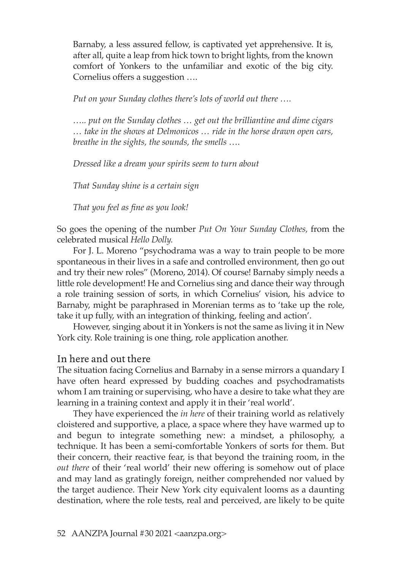Barnaby, a less assured fellow, is captivated yet apprehensive. It is, after all, quite a leap from hick town to bright lights, from the known comfort of Yonkers to the unfamiliar and exotic of the big city. Cornelius offers a suggestion ….

*Put on your Sunday clothes there's lots of world out there ….*

*….. put on the Sunday clothes … get out the brilliantine and dime cigars … take in the shows at Delmonicos … ride in the horse drawn open cars, breathe in the sights, the sounds, the smells ….*

*Dressed like a dream your spirits seem to turn about*

*That Sunday shine is a certain sign*

*That you feel as fine as you look!*

So goes the opening of the number *Put On Your Sunday Clothes,* from the celebrated musical *Hello Dolly.*

For J. L. Moreno "psychodrama was a way to train people to be more spontaneous in their lives in a safe and controlled environment, then go out and try their new roles" (Moreno, 2014). Of course! Barnaby simply needs a little role development! He and Cornelius sing and dance their way through a role training session of sorts, in which Cornelius' vision, his advice to Barnaby, might be paraphrased in Morenian terms as to 'take up the role, take it up fully, with an integration of thinking, feeling and action'.

However, singing about it in Yonkers is not the same as living it in New York city. Role training is one thing, role application another.

## In here and out there

The situation facing Cornelius and Barnaby in a sense mirrors a quandary I have often heard expressed by budding coaches and psychodramatists whom I am training or supervising, who have a desire to take what they are learning in a training context and apply it in their 'real world'.

They have experienced the *in here* of their training world as relatively cloistered and supportive, a place, a space where they have warmed up to and begun to integrate something new: a mindset, a philosophy, a technique. It has been a semi-comfortable Yonkers of sorts for them. But their concern, their reactive fear, is that beyond the training room, in the *out there* of their 'real world' their new offering is somehow out of place and may land as gratingly foreign, neither comprehended nor valued by the target audience. Their New York city equivalent looms as a daunting destination, where the role tests, real and perceived, are likely to be quite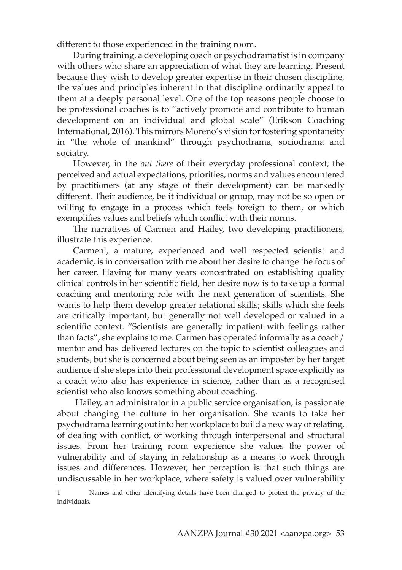different to those experienced in the training room.

During training, a developing coach or psychodramatist is in company with others who share an appreciation of what they are learning. Present because they wish to develop greater expertise in their chosen discipline, the values and principles inherent in that discipline ordinarily appeal to them at a deeply personal level. One of the top reasons people choose to be professional coaches is to "actively promote and contribute to human development on an individual and global scale" (Erikson Coaching International, 2016). This mirrors Moreno's vision for fostering spontaneity in "the whole of mankind" through psychodrama, sociodrama and sociatry.

However, in the *out there* of their everyday professional context, the perceived and actual expectations, priorities, norms and values encountered by practitioners (at any stage of their development) can be markedly different. Their audience, be it individual or group, may not be so open or willing to engage in a process which feels foreign to them, or which exemplifies values and beliefs which conflict with their norms.

The narratives of Carmen and Hailey, two developing practitioners, illustrate this experience.

Carmen<sup>1</sup>, a mature, experienced and well respected scientist and academic, is in conversation with me about her desire to change the focus of her career. Having for many years concentrated on establishing quality clinical controls in her scientific field, her desire now is to take up a formal coaching and mentoring role with the next generation of scientists. She wants to help them develop greater relational skills; skills which she feels are critically important, but generally not well developed or valued in a scientific context. "Scientists are generally impatient with feelings rather than facts", she explains to me. Carmen has operated informally as a coach/ mentor and has delivered lectures on the topic to scientist colleagues and students, but she is concerned about being seen as an imposter by her target audience if she steps into their professional development space explicitly as a coach who also has experience in science, rather than as a recognised scientist who also knows something about coaching.

 Hailey, an administrator in a public service organisation, is passionate about changing the culture in her organisation. She wants to take her psychodrama learning out into her workplace to build a new way of relating, of dealing with conflict, of working through interpersonal and structural issues. From her training room experience she values the power of vulnerability and of staying in relationship as a means to work through issues and differences. However, her perception is that such things are undiscussable in her workplace, where safety is valued over vulnerability

Names and other identifying details have been changed to protect the privacy of the individuals.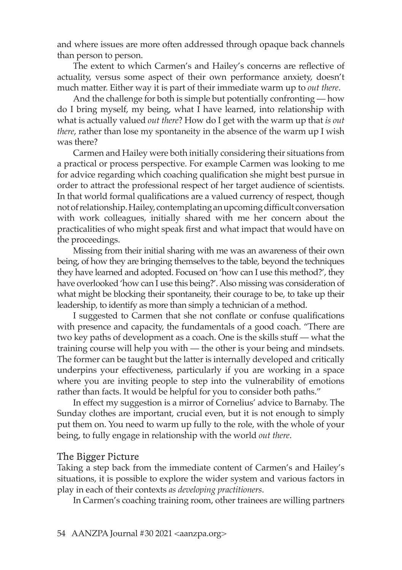and where issues are more often addressed through opaque back channels than person to person.

The extent to which Carmen's and Hailey's concerns are reflective of actuality, versus some aspect of their own performance anxiety, doesn't much matter. Either way it is part of their immediate warm up to *out there*.

And the challenge for both is simple but potentially confronting — how do I bring myself, my being, what I have learned, into relationship with what is actually valued *out there*? How do I get with the warm up that *is out there*, rather than lose my spontaneity in the absence of the warm up I wish was there?

Carmen and Hailey were both initially considering their situations from a practical or process perspective. For example Carmen was looking to me for advice regarding which coaching qualification she might best pursue in order to attract the professional respect of her target audience of scientists. In that world formal qualifications are a valued currency of respect, though not of relationship. Hailey, contemplating an upcoming difficult conversation with work colleagues, initially shared with me her concern about the practicalities of who might speak first and what impact that would have on the proceedings.

Missing from their initial sharing with me was an awareness of their own being, of how they are bringing themselves to the table, beyond the techniques they have learned and adopted. Focused on 'how can I use this method?', they have overlooked 'how can I use this being?'. Also missing was consideration of what might be blocking their spontaneity, their courage to be, to take up their leadership, to identify as more than simply a technician of a method.

I suggested to Carmen that she not conflate or confuse qualifications with presence and capacity, the fundamentals of a good coach. "There are two key paths of development as a coach. One is the skills stuff — what the training course will help you with — the other is your being and mindsets. The former can be taught but the latter is internally developed and critically underpins your effectiveness, particularly if you are working in a space where you are inviting people to step into the vulnerability of emotions rather than facts. It would be helpful for you to consider both paths."

In effect my suggestion is a mirror of Cornelius' advice to Barnaby. The Sunday clothes are important, crucial even, but it is not enough to simply put them on. You need to warm up fully to the role, with the whole of your being, to fully engage in relationship with the world *out there*.

#### The Bigger Picture

Taking a step back from the immediate content of Carmen's and Hailey's situations, it is possible to explore the wider system and various factors in play in each of their contexts *as developing practitioners*.

In Carmen's coaching training room, other trainees are willing partners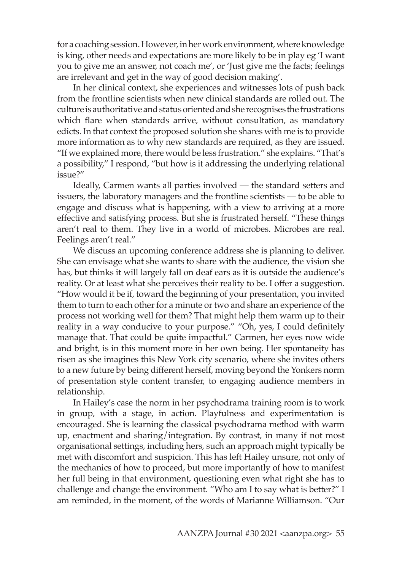for a coaching session. However, in her work environment, where knowledge is king, other needs and expectations are more likely to be in play eg 'I want you to give me an answer, not coach me', or 'Just give me the facts; feelings are irrelevant and get in the way of good decision making'.

In her clinical context, she experiences and witnesses lots of push back from the frontline scientists when new clinical standards are rolled out. The culture is authoritative and status oriented and she recognises the frustrations which flare when standards arrive, without consultation, as mandatory edicts. In that context the proposed solution she shares with me is to provide more information as to why new standards are required, as they are issued. "If we explained more, there would be less frustration." she explains. "That's a possibility," I respond, "but how is it addressing the underlying relational issue?"

Ideally, Carmen wants all parties involved — the standard setters and issuers, the laboratory managers and the frontline scientists — to be able to engage and discuss what is happening, with a view to arriving at a more effective and satisfying process. But she is frustrated herself. "These things aren't real to them. They live in a world of microbes. Microbes are real. Feelings aren't real."

We discuss an upcoming conference address she is planning to deliver. She can envisage what she wants to share with the audience, the vision she has, but thinks it will largely fall on deaf ears as it is outside the audience's reality. Or at least what she perceives their reality to be. I offer a suggestion. "How would it be if, toward the beginning of your presentation, you invited them to turn to each other for a minute or two and share an experience of the process not working well for them? That might help them warm up to their reality in a way conducive to your purpose." "Oh, yes, I could definitely manage that. That could be quite impactful." Carmen, her eyes now wide and bright, is in this moment more in her own being. Her spontaneity has risen as she imagines this New York city scenario, where she invites others to a new future by being different herself, moving beyond the Yonkers norm of presentation style content transfer, to engaging audience members in relationship.

In Hailey's case the norm in her psychodrama training room is to work in group, with a stage, in action. Playfulness and experimentation is encouraged. She is learning the classical psychodrama method with warm up, enactment and sharing/integration. By contrast, in many if not most organisational settings, including hers, such an approach might typically be met with discomfort and suspicion. This has left Hailey unsure, not only of the mechanics of how to proceed, but more importantly of how to manifest her full being in that environment, questioning even what right she has to challenge and change the environment. "Who am I to say what is better?" I am reminded, in the moment, of the words of Marianne Williamson. "Our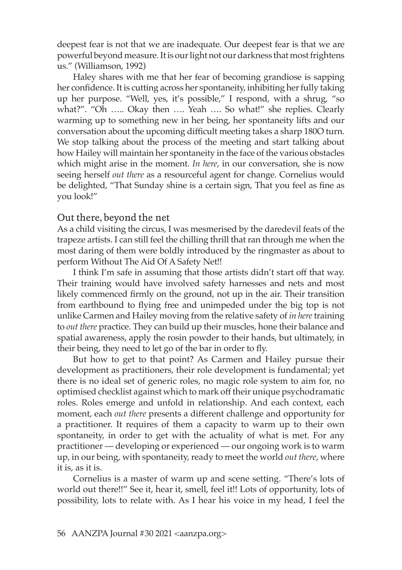deepest fear is not that we are inadequate. Our deepest fear is that we are powerful beyond measure. It is our light not our darkness that most frightens us." (Williamson, 1992)

Haley shares with me that her fear of becoming grandiose is sapping her confidence. It is cutting across her spontaneity, inhibiting her fully taking up her purpose. "Well, yes, it's possible," I respond, with a shrug, "so what?". "Oh ….. Okay then …. Yeah …. So what!" she replies. Clearly warming up to something new in her being, her spontaneity lifts and our conversation about the upcoming difficult meeting takes a sharp 180O turn. We stop talking about the process of the meeting and start talking about how Hailey will maintain her spontaneity in the face of the various obstacles which might arise in the moment. *In here*, in our conversation, she is now seeing herself *out there* as a resourceful agent for change. Cornelius would be delighted, "That Sunday shine is a certain sign, That you feel as fine as you look!"

# Out there, beyond the net

As a child visiting the circus, I was mesmerised by the daredevil feats of the trapeze artists. I can still feel the chilling thrill that ran through me when the most daring of them were boldly introduced by the ringmaster as about to perform Without The Aid Of A Safety Net!!

I think I'm safe in assuming that those artists didn't start off that way. Their training would have involved safety harnesses and nets and most likely commenced firmly on the ground, not up in the air. Their transition from earthbound to flying free and unimpeded under the big top is not unlike Carmen and Hailey moving from the relative safety of *in here* training to *out there* practice. They can build up their muscles, hone their balance and spatial awareness, apply the rosin powder to their hands, but ultimately, in their being, they need to let go of the bar in order to fly.

But how to get to that point? As Carmen and Hailey pursue their development as practitioners, their role development is fundamental; yet there is no ideal set of generic roles, no magic role system to aim for, no optimised checklist against which to mark off their unique psychodramatic roles. Roles emerge and unfold in relationship. And each context, each moment, each *out there* presents a different challenge and opportunity for a practitioner. It requires of them a capacity to warm up to their own spontaneity, in order to get with the actuality of what is met. For any practitioner — developing or experienced — our ongoing work is to warm up, in our being, with spontaneity, ready to meet the world *out there*, where it is, as it is.

Cornelius is a master of warm up and scene setting. "There's lots of world out there!!" See it, hear it, smell, feel it!! Lots of opportunity, lots of possibility, lots to relate with. As I hear his voice in my head, I feel the